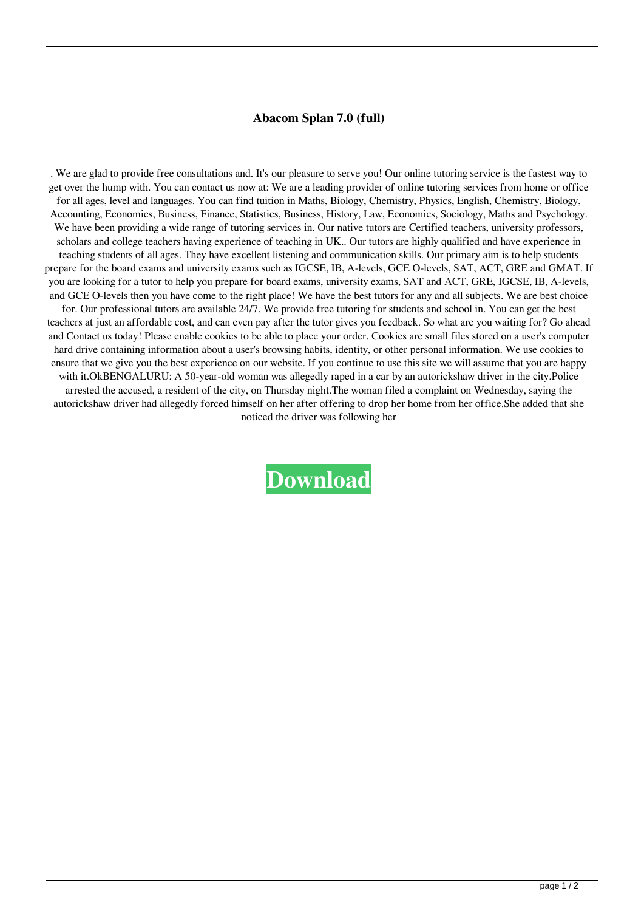## **Abacom Splan 7.0 (full)**

. We are glad to provide free consultations and. It's our pleasure to serve you! Our online tutoring service is the fastest way to get over the hump with. You can contact us now at: We are a leading provider of online tutoring services from home or office for all ages, level and languages. You can find tuition in Maths, Biology, Chemistry, Physics, English, Chemistry, Biology, Accounting, Economics, Business, Finance, Statistics, Business, History, Law, Economics, Sociology, Maths and Psychology. We have been providing a wide range of tutoring services in. Our native tutors are Certified teachers, university professors, scholars and college teachers having experience of teaching in UK.. Our tutors are highly qualified and have experience in teaching students of all ages. They have excellent listening and communication skills. Our primary aim is to help students prepare for the board exams and university exams such as IGCSE, IB, A-levels, GCE O-levels, SAT, ACT, GRE and GMAT. If you are looking for a tutor to help you prepare for board exams, university exams, SAT and ACT, GRE, IGCSE, IB, A-levels, and GCE O-levels then you have come to the right place! We have the best tutors for any and all subjects. We are best choice for. Our professional tutors are available 24/7. We provide free tutoring for students and school in. You can get the best teachers at just an affordable cost, and can even pay after the tutor gives you feedback. So what are you waiting for? Go ahead and Contact us today! Please enable cookies to be able to place your order. Cookies are small files stored on a user's computer hard drive containing information about a user's browsing habits, identity, or other personal information. We use cookies to ensure that we give you the best experience on our website. If you continue to use this site we will assume that you are happy with it.OkBENGALURU: A 50-year-old woman was allegedly raped in a car by an autorickshaw driver in the city.Police arrested the accused, a resident of the city, on Thursday night.The woman filed a complaint on Wednesday, saying the autorickshaw driver had allegedly forced himself on her after offering to drop her home from her office.She added that she noticed the driver was following her

## **[Download](http://evacdir.com/faerie/neurovascular/ZG93bmxvYWR8YjRyTW5Sak0zeDhNVFkxTWpRMk16QTFNSHg4TWpVM05IeDhLRTBwSUhKbFlXUXRZbXh2WnlCYlJtRnpkQ0JIUlU1ZA.abingworth?YWJhY29tIHNwbGFuIDcuMCAoZnVsbCkYWJ=contentious&/erred)**